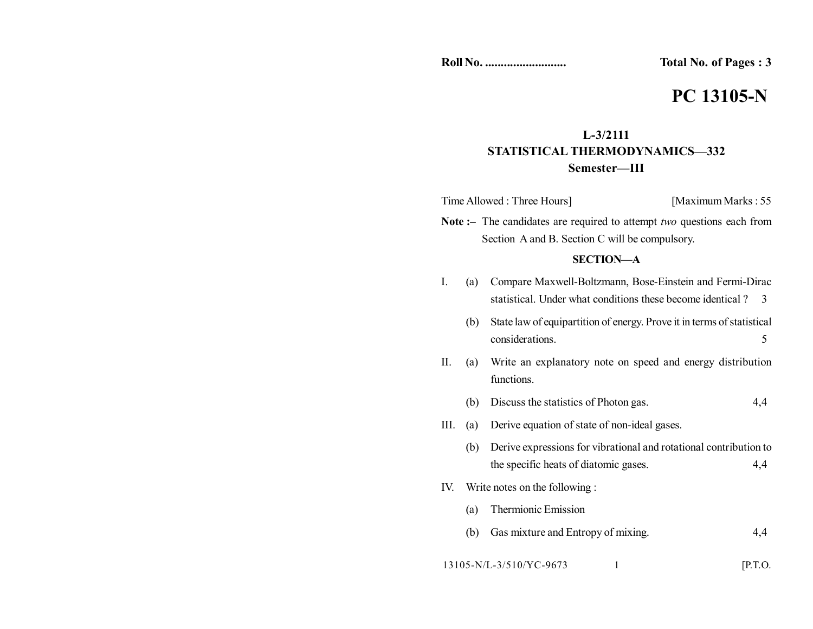**Total No. of Pages : 3** 

# **PC 13105-N**

# **L-3/2111 STATISTICAL THERMODYNAMICS—332 Semester—III**

| Time Allowed : Three Hours] | [Maximum Marks: 55] |
|-----------------------------|---------------------|
|-----------------------------|---------------------|

**Note :–** The candidates are required to attempt *two* questions each from Section A and B. Section C will be compulsory.

## **SECTION—A**

- I. (a) Compare Maxwell-Boltzmann, Bose-Einstein and Fermi-Dirac statistical. Under what conditions these become identical ? 3
	- (b) State law of equipartition of energy. Prove it in terms of statistical considerations. 5
- II. (a) Write an explanatory note on speed and energy distribution functions.
	- (b) Discuss the statistics of Photon gas. 4,4
- III. (a) Derive equation of state of non-ideal gases.
	- (b) Derive expressions for vibrational and rotational contribution to the specific heats of diatomic gases. 4,4
- IV. Write notes on the following :
	- (a) Thermionic Emission
	- (b) Gas mixture and Entropy of mixing. 4,4

13105-N/L-3/510/YC-9673 1 [P.T.O.]